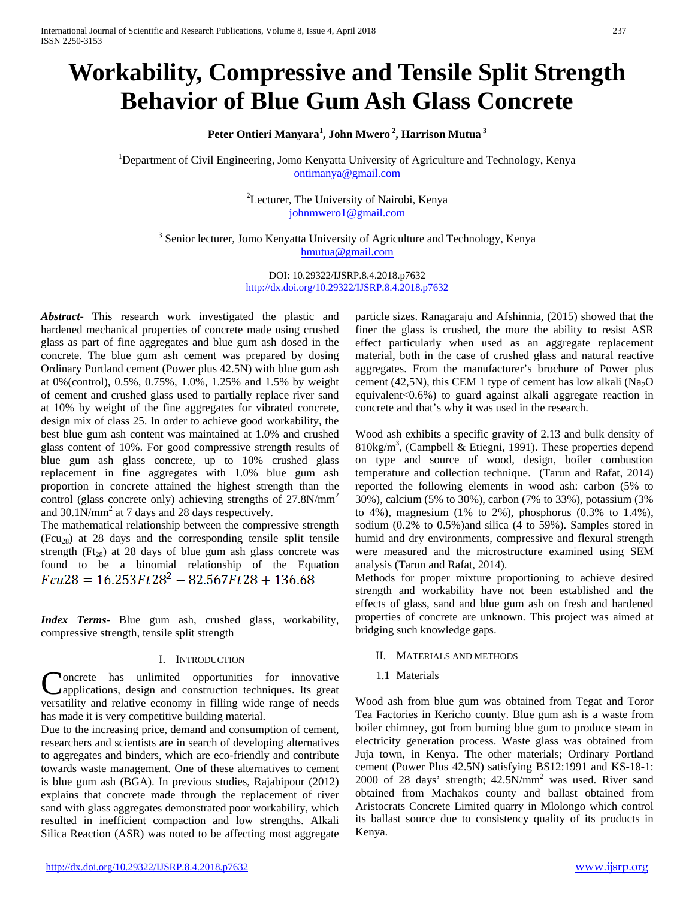# **Workability, Compressive and Tensile Split Strength Behavior of Blue Gum Ash Glass Concrete**

**Peter Ontieri Manyara<sup>1</sup> , John Mwero <sup>2</sup> , Harrison Mutua <sup>3</sup>**

<sup>1</sup>Department of Civil Engineering, Jomo Kenyatta University of Agriculture and Technology, Kenya [ontimanya@gmail.com](mailto:ontimanya@gmail.com)

> <sup>2</sup>Lecturer, The University of Nairobi, Kenya [johnmwero1@gmail.com](mailto:johnmwero1@gmail.com)

<sup>3</sup> Senior lecturer, Jomo Kenyatta University of Agriculture and Technology, Kenya [hmutua@gmail.com](mailto:hmutua@gmail.com)

> DOI: 10.29322/IJSRP.8.4.2018.p7632 <http://dx.doi.org/10.29322/IJSRP.8.4.2018.p7632>

*Abstract***-** This research work investigated the plastic and hardened mechanical properties of concrete made using crushed glass as part of fine aggregates and blue gum ash dosed in the concrete. The blue gum ash cement was prepared by dosing Ordinary Portland cement (Power plus 42.5N) with blue gum ash at 0%(control), 0.5%, 0.75%, 1.0%, 1.25% and 1.5% by weight of cement and crushed glass used to partially replace river sand at 10% by weight of the fine aggregates for vibrated concrete, design mix of class 25. In order to achieve good workability, the best blue gum ash content was maintained at 1.0% and crushed glass content of 10%. For good compressive strength results of blue gum ash glass concrete, up to 10% crushed glass replacement in fine aggregates with 1.0% blue gum ash proportion in concrete attained the highest strength than the control (glass concrete only) achieving strengths of 27.8N/mm<sup>2</sup> and 30.1N/mm<sup>2</sup> at 7 days and 28 days respectively.

The mathematical relationship between the compressive strength  $(Fcu_{28})$  at 28 days and the corresponding tensile split tensile strength ( $Ft_{28}$ ) at 28 days of blue gum ash glass concrete was found to be a binomial relationship of the Equation  $Fcu28 = 16.253Ft28^2 - 82.567Ft28 + 136.68$ 

*Index Terms*- Blue gum ash, crushed glass, workability, compressive strength, tensile split strength

#### I. INTRODUCTION

oncrete has unlimited opportunities for innovative applications, design and construction techniques. Its great Concrete has unlimited opportunities for innovative applications, design and construction techniques. Its great versatility and relative economy in filling wide range of needs has made it is very competitive building material.

Due to the increasing price, demand and consumption of cement, researchers and scientists are in search of developing alternatives to aggregates and binders, which are eco-friendly and contribute towards waste management. One of these alternatives to cement is blue gum ash (BGA). In previous studies, Rajabipour (2012) explains that concrete made through the replacement of river sand with glass aggregates demonstrated poor workability, which resulted in inefficient compaction and low strengths. Alkali Silica Reaction (ASR) was noted to be affecting most aggregate

particle sizes. Ranagaraju and Afshinnia, (2015) showed that the finer the glass is crushed, the more the ability to resist ASR effect particularly when used as an aggregate replacement material, both in the case of crushed glass and natural reactive aggregates. From the manufacturer's brochure of Power plus cement (42,5N), this CEM 1 type of cement has low alkali  $(Na<sub>2</sub>O)$ equivalent<0.6%) to guard against alkali aggregate reaction in concrete and that's why it was used in the research.

Wood ash exhibits a specific gravity of 2.13 and bulk density of 810kg/m<sup>3</sup>, (Campbell & Etiegni, 1991). These properties depend on type and source of wood, design, boiler combustion temperature and collection technique. (Tarun and Rafat, 2014) reported the following elements in wood ash: carbon (5% to 30%), calcium (5% to 30%), carbon (7% to 33%), potassium (3% to 4%), magnesium (1% to 2%), phosphorus (0.3% to 1.4%), sodium (0.2% to 0.5%)and silica (4 to 59%). Samples stored in humid and dry environments, compressive and flexural strength were measured and the microstructure examined using SEM analysis (Tarun and Rafat, 2014).

Methods for proper mixture proportioning to achieve desired strength and workability have not been established and the effects of glass, sand and blue gum ash on fresh and hardened properties of concrete are unknown. This project was aimed at bridging such knowledge gaps.

#### II. MATERIALS AND METHODS

#### 1.1 Materials

Wood ash from blue gum was obtained from Tegat and Toror Tea Factories in Kericho county. Blue gum ash is a waste from boiler chimney, got from burning blue gum to produce steam in electricity generation process. Waste glass was obtained from Juja town, in Kenya. The other materials; Ordinary Portland cement (Power Plus 42.5N) satisfying BS12:1991 and KS-18-1: 2000 of 28 days' strength; 42.5N/mm2 was used. River sand obtained from Machakos county and ballast obtained from Aristocrats Concrete Limited quarry in Mlolongo which control its ballast source due to consistency quality of its products in Kenya.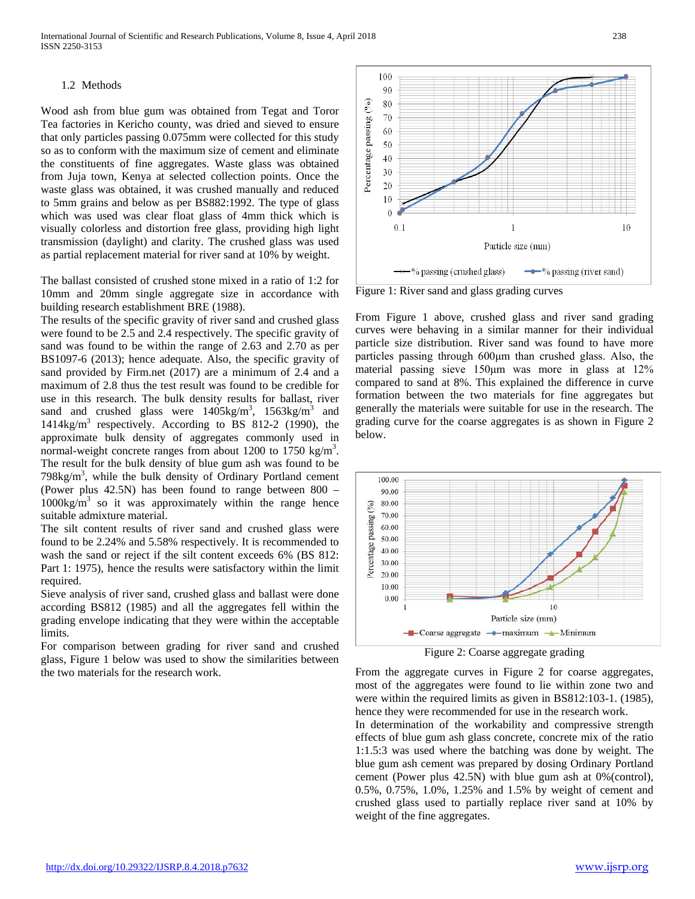## 1.2 Methods

Wood ash from blue gum was obtained from Tegat and Toror Tea factories in Kericho county, was dried and sieved to ensure that only particles passing 0.075mm were collected for this study so as to conform with the maximum size of cement and eliminate the constituents of fine aggregates. Waste glass was obtained from Juja town, Kenya at selected collection points. Once the waste glass was obtained, it was crushed manually and reduced to 5mm grains and below as per BS882:1992. The type of glass which was used was clear float glass of 4mm thick which is visually colorless and distortion free glass, providing high light transmission (daylight) and clarity. The crushed glass was used as partial replacement material for river sand at 10% by weight.

The ballast consisted of crushed stone mixed in a ratio of 1:2 for 10mm and 20mm single aggregate size in accordance with building research establishment BRE (1988).

The results of the specific gravity of river sand and crushed glass were found to be 2.5 and 2.4 respectively. The specific gravity of sand was found to be within the range of 2.63 and 2.70 as per BS1097-6 (2013); hence adequate. Also, the specific gravity of sand provided by Firm.net (2017) are a minimum of 2.4 and a maximum of 2.8 thus the test result was found to be credible for use in this research. The bulk density results for ballast, river sand and crushed glass were  $1405 \text{kg/m}^3$ ,  $1563 \text{kg/m}^3$  and  $1414\text{kg/m}^3$  respectively. According to BS 812-2 (1990), the approximate bulk density of aggregates commonly used in normal-weight concrete ranges from about 1200 to 1750 kg/m<sup>3</sup>. The result for the bulk density of blue gum ash was found to be  $798\text{kg/m}^3$ , while the bulk density of Ordinary Portland cement (Power plus 42.5N) has been found to range between 800 –  $1000\text{kg/m}^3$  so it was approximately within the range hence suitable admixture material.

The silt content results of river sand and crushed glass were found to be 2.24% and 5.58% respectively. It is recommended to wash the sand or reject if the silt content exceeds 6% (BS 812: Part 1: 1975), hence the results were satisfactory within the limit required.

Sieve analysis of river sand, crushed glass and ballast were done according BS812 (1985) and all the aggregates fell within the grading envelope indicating that they were within the acceptable limits.

For comparison between grading for river sand and crushed glass, Figure 1 below was used to show the similarities between the two materials for the research work.



Figure 1: River sand and glass grading curves

From Figure 1 above, crushed glass and river sand grading curves were behaving in a similar manner for their individual particle size distribution. River sand was found to have more particles passing through 600μm than crushed glass. Also, the material passing sieve 150μm was more in glass at 12% compared to sand at 8%. This explained the difference in curve formation between the two materials for fine aggregates but generally the materials were suitable for use in the research. The grading curve for the coarse aggregates is as shown in Figure 2 below.



Figure 2: Coarse aggregate grading

From the aggregate curves in Figure 2 for coarse aggregates, most of the aggregates were found to lie within zone two and were within the required limits as given in BS812:103-1. (1985), hence they were recommended for use in the research work.

In determination of the workability and compressive strength effects of blue gum ash glass concrete, concrete mix of the ratio 1:1.5:3 was used where the batching was done by weight. The blue gum ash cement was prepared by dosing Ordinary Portland cement (Power plus 42.5N) with blue gum ash at 0%(control), 0.5%, 0.75%, 1.0%, 1.25% and 1.5% by weight of cement and crushed glass used to partially replace river sand at 10% by weight of the fine aggregates.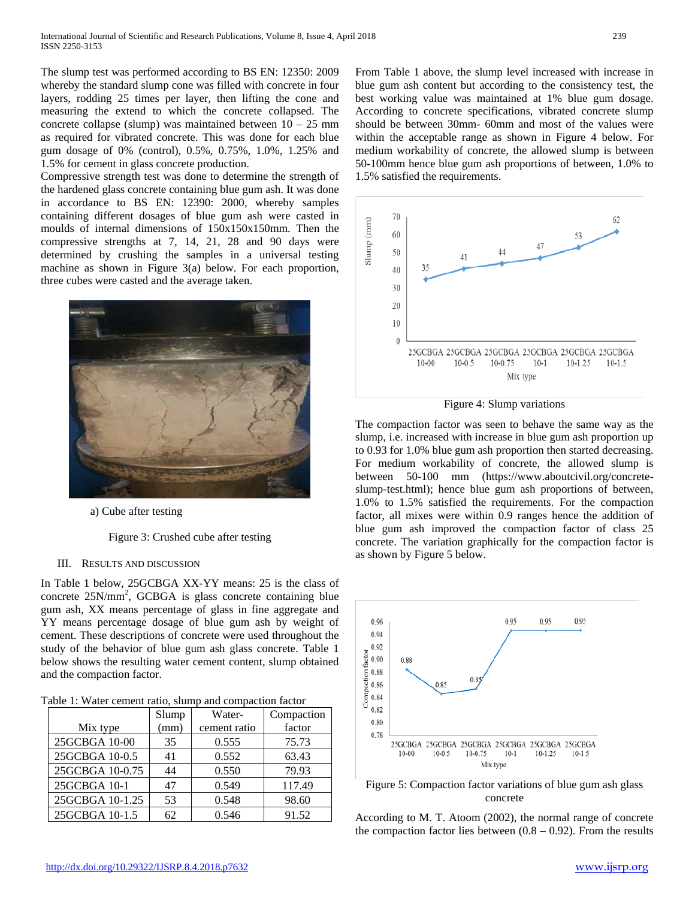The slump test was performed according to BS EN: 12350: 2009 whereby the standard slump cone was filled with concrete in four layers, rodding 25 times per layer, then lifting the cone and measuring the extend to which the concrete collapsed. The concrete collapse (slump) was maintained between  $10 - 25$  mm as required for vibrated concrete. This was done for each blue gum dosage of 0% (control), 0.5%, 0.75%, 1.0%, 1.25% and 1.5% for cement in glass concrete production.

Compressive strength test was done to determine the strength of the hardened glass concrete containing blue gum ash. It was done in accordance to BS EN: 12390: 2000, whereby samples containing different dosages of blue gum ash were casted in moulds of internal dimensions of 150x150x150mm. Then the compressive strengths at 7, 14, 21, 28 and 90 days were determined by crushing the samples in a universal testing machine as shown in Figure 3(a) below. For each proportion, three cubes were casted and the average taken.



a) Cube after testing

Figure 3: Crushed cube after testing

## III. RESULTS AND DISCUSSION

In Table 1 below, 25GCBGA XX-YY means: 25 is the class of concrete  $25N/mm^2$ , GCBGA is glass concrete containing blue gum ash, XX means percentage of glass in fine aggregate and YY means percentage dosage of blue gum ash by weight of cement. These descriptions of concrete were used throughout the study of the behavior of blue gum ash glass concrete. Table 1 below shows the resulting water cement content, slump obtained and the compaction factor.

| Table 1: Water cement ratio, slump and compaction factor |  |  |  |  |  |  |  |  |  |
|----------------------------------------------------------|--|--|--|--|--|--|--|--|--|
|----------------------------------------------------------|--|--|--|--|--|--|--|--|--|

|                 | Slump | Water-       | Compaction |
|-----------------|-------|--------------|------------|
| Mix type        | (mm)  | cement ratio | factor     |
| 25GCBGA 10-00   | 35    | 0.555        | 75.73      |
| 25GCBGA 10-0.5  | 41    | 0.552        | 63.43      |
| 25GCBGA 10-0.75 | 44    | 0.550        | 79.93      |
| 25GCBGA 10-1    | 47    | 0.549        | 117.49     |
| 25GCBGA 10-1.25 | 53    | 0.548        | 98.60      |
| 25GCBGA 10-1.5  | 62    | 0.546        | 91.52      |

From Table 1 above, the slump level increased with increase in blue gum ash content but according to the consistency test, the best working value was maintained at 1% blue gum dosage. According to concrete specifications, vibrated concrete slump should be between 30mm- 60mm and most of the values were within the acceptable range as shown in Figure 4 below. For medium workability of concrete, the allowed slump is between 50-100mm hence blue gum ash proportions of between, 1.0% to 1.5% satisfied the requirements.



Figure 4: Slump variations

The compaction factor was seen to behave the same way as the slump, i.e. increased with increase in blue gum ash proportion up to 0.93 for 1.0% blue gum ash proportion then started decreasing. For medium workability of concrete, the allowed slump is between 50-100 mm (https://www.aboutcivil.org/concreteslump-test.html); hence blue gum ash proportions of between, 1.0% to 1.5% satisfied the requirements. For the compaction factor, all mixes were within 0.9 ranges hence the addition of blue gum ash improved the compaction factor of class 25 concrete. The variation graphically for the compaction factor is as shown by Figure 5 below.





According to M. T. Atoom (2002), the normal range of concrete the compaction factor lies between  $(0.8 - 0.92)$ . From the results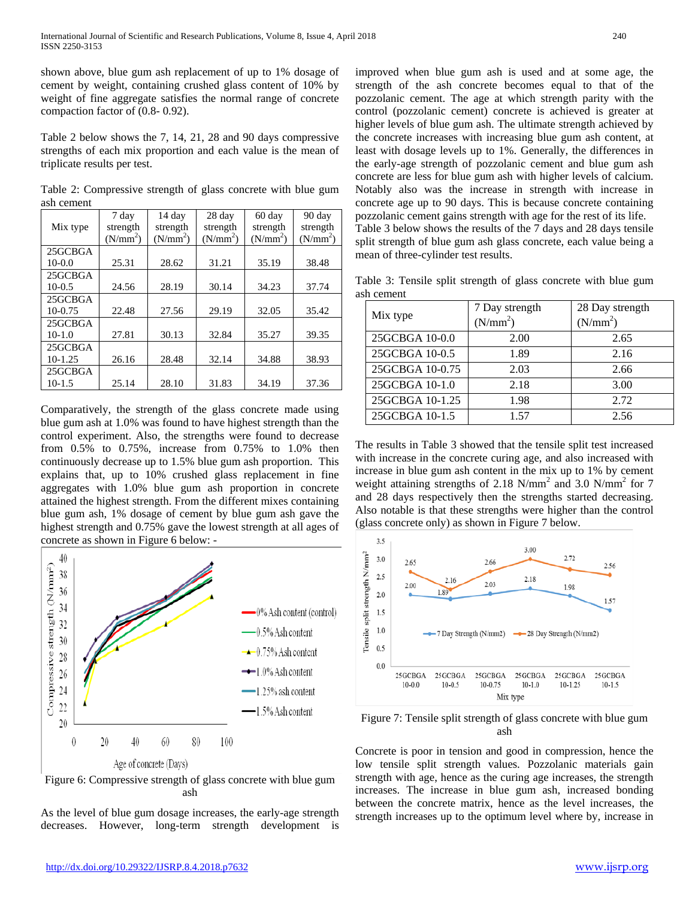shown above, blue gum ash replacement of up to 1% dosage of cement by weight, containing crushed glass content of 10% by weight of fine aggregate satisfies the normal range of concrete compaction factor of (0.8- 0.92).

Table 2 below shows the 7, 14, 21, 28 and 90 days compressive strengths of each mix proportion and each value is the mean of triplicate results per test.

|            | Table 2: Compressive strength of glass concrete with blue gum |  |  |  |  |
|------------|---------------------------------------------------------------|--|--|--|--|
| ash cement |                                                               |  |  |  |  |

|           | 7 day                | 14 day     | 28 day               | 60 day               | 90 day               |
|-----------|----------------------|------------|----------------------|----------------------|----------------------|
| Mix type  | strength             | strength   | strength             | strength             | strength             |
|           | (N/mm <sup>2</sup> ) | $(N/mm^2)$ | (N/mm <sup>2</sup> ) | (N/mm <sup>2</sup> ) | (N/mm <sup>2</sup> ) |
| 25GCBGA   |                      |            |                      |                      |                      |
| $10-0.0$  | 25.31                | 28.62      | 31.21                | 35.19                | 38.48                |
| 25GCBGA   |                      |            |                      |                      |                      |
| $10-0.5$  | 24.56                | 28.19      | 30.14                | 34.23                | 37.74                |
| 25GCBGA   |                      |            |                      |                      |                      |
| $10-0.75$ | 22.48                | 27.56      | 29.19                | 32.05                | 35.42                |
| 25GCBGA   |                      |            |                      |                      |                      |
| $10-1.0$  | 27.81                | 30.13      | 32.84                | 35.27                | 39.35                |
| 25GCBGA   |                      |            |                      |                      |                      |
| $10-1.25$ | 26.16                | 28.48      | 32.14                | 34.88                | 38.93                |
| 25GCBGA   |                      |            |                      |                      |                      |
| 10-1.5    | 25.14                | 28.10      | 31.83                | 34.19                | 37.36                |

Comparatively, the strength of the glass concrete made using blue gum ash at 1.0% was found to have highest strength than the control experiment. Also, the strengths were found to decrease from 0.5% to 0.75%, increase from 0.75% to 1.0% then continuously decrease up to 1.5% blue gum ash proportion. This explains that, up to 10% crushed glass replacement in fine aggregates with 1.0% blue gum ash proportion in concrete attained the highest strength. From the different mixes containing blue gum ash, 1% dosage of cement by blue gum ash gave the highest strength and 0.75% gave the lowest strength at all ages of concrete as shown in Figure 6 below: -





As the level of blue gum dosage increases, the early-age strength decreases. However, long-term strength development is

improved when blue gum ash is used and at some age, the strength of the ash concrete becomes equal to that of the pozzolanic cement. The age at which strength parity with the control (pozzolanic cement) concrete is achieved is greater at higher levels of blue gum ash. The ultimate strength achieved by the concrete increases with increasing blue gum ash content, at least with dosage levels up to 1%. Generally, the differences in the early-age strength of pozzolanic cement and blue gum ash concrete are less for blue gum ash with higher levels of calcium. Notably also was the increase in strength with increase in concrete age up to 90 days. This is because concrete containing pozzolanic cement gains strength with age for the rest of its life. Table 3 below shows the results of the 7 days and 28 days tensile split strength of blue gum ash glass concrete, each value being a mean of three-cylinder test results.

Table 3: Tensile split strength of glass concrete with blue gum ash cement

|                 | 7 Day strength       | 28 Day strength      |  |  |
|-----------------|----------------------|----------------------|--|--|
| Mix type        | (N/mm <sup>2</sup> ) | (N/mm <sup>2</sup> ) |  |  |
| 25GCBGA 10-0.0  | 2.00                 | 2.65                 |  |  |
| 25GCBGA 10-0.5  | 1.89                 | 2.16                 |  |  |
| 25GCBGA 10-0.75 | 2.03                 | 2.66                 |  |  |
| 25GCBGA 10-1.0  | 2.18                 | 3.00                 |  |  |
| 25GCBGA 10-1.25 | 1.98                 | 2.72                 |  |  |
| 25GCBGA 10-1.5  | 1.57                 | 2.56                 |  |  |

The results in Table 3 showed that the tensile split test increased with increase in the concrete curing age, and also increased with increase in blue gum ash content in the mix up to 1% by cement weight attaining strengths of  $2.18$  N/mm<sup>2</sup> and  $3.0$  N/mm<sup>2</sup> for 7 and 28 days respectively then the strengths started decreasing. Also notable is that these strengths were higher than the control (glass concrete only) as shown in Figure 7 below.



Figure 7: Tensile split strength of glass concrete with blue gum ash

Concrete is poor in tension and good in compression, hence the low tensile split strength values. Pozzolanic materials gain strength with age, hence as the curing age increases, the strength increases. The increase in blue gum ash, increased bonding between the concrete matrix, hence as the level increases, the strength increases up to the optimum level where by, increase in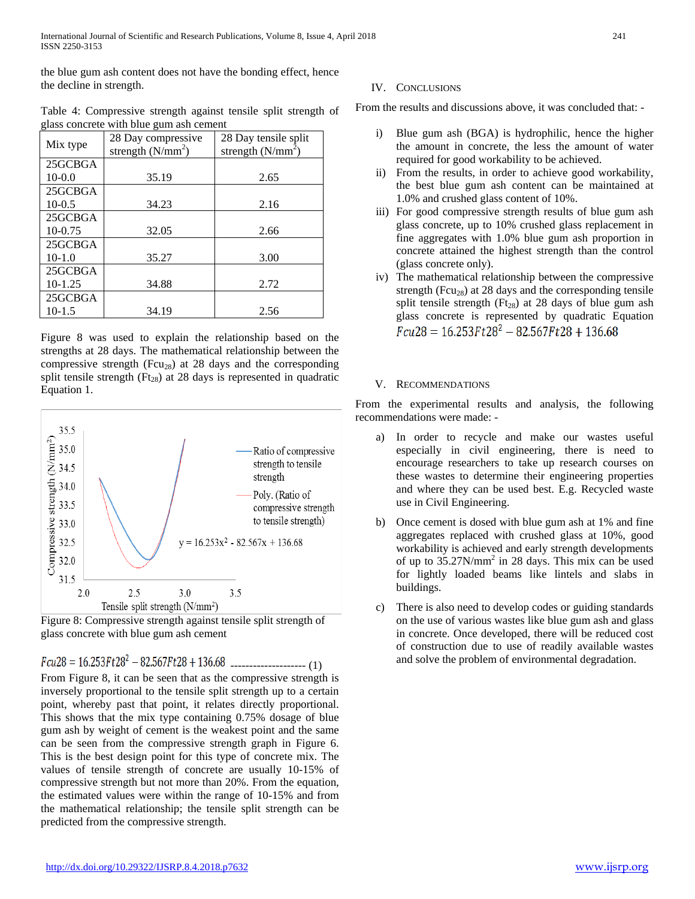the blue gum ash content does not have the bonding effect, hence the decline in strength.

| Table 4: Compressive strength against tensile split strength of |  |  |  |
|-----------------------------------------------------------------|--|--|--|
| glass concrete with blue gum ash cement                         |  |  |  |

| Mix type  | 28 Day compressive<br>strength $(N/mm^2)$ | 28 Day tensile split<br>strength $(N/mm^2)$ |
|-----------|-------------------------------------------|---------------------------------------------|
| 25GCBGA   |                                           |                                             |
| $10-0.0$  | 35.19                                     | 2.65                                        |
| 25GCBGA   |                                           |                                             |
| $10-0.5$  | 34.23                                     | 2.16                                        |
| 25GCBGA   |                                           |                                             |
| $10-0.75$ | 32.05                                     | 2.66                                        |
| 25GCBGA   |                                           |                                             |
| $10-1.0$  | 35.27                                     | 3.00                                        |
| 25GCBGA   |                                           |                                             |
| $10-1.25$ | 34.88                                     | 2.72                                        |
| 25GCBGA   |                                           |                                             |
| $10-1.5$  | 34.19                                     | 2.56                                        |

Figure 8 was used to explain the relationship based on the strengths at 28 days. The mathematical relationship between the compressive strength (Fcu<sub>28</sub>) at 28 days and the corresponding split tensile strength ( $Ft_{28}$ ) at 28 days is represented in quadratic Equation 1.



Figure 8: Compressive strength against tensile split strength of glass concrete with blue gum ash cement

-------------------- (1)

From Figure 8, it can be seen that as the compressive strength is inversely proportional to the tensile split strength up to a certain point, whereby past that point, it relates directly proportional. This shows that the mix type containing 0.75% dosage of blue gum ash by weight of cement is the weakest point and the same can be seen from the compressive strength graph in Figure 6. This is the best design point for this type of concrete mix. The values of tensile strength of concrete are usually 10-15% of compressive strength but not more than 20%. From the equation, the estimated values were within the range of 10-15% and from the mathematical relationship; the tensile split strength can be predicted from the compressive strength.

# IV. CONCLUSIONS

From the results and discussions above, it was concluded that: -

- i) Blue gum ash (BGA) is hydrophilic, hence the higher the amount in concrete, the less the amount of water required for good workability to be achieved.
- ii) From the results, in order to achieve good workability, the best blue gum ash content can be maintained at 1.0% and crushed glass content of 10%.
- iii) For good compressive strength results of blue gum ash glass concrete, up to 10% crushed glass replacement in fine aggregates with 1.0% blue gum ash proportion in concrete attained the highest strength than the control (glass concrete only).
- iv) The mathematical relationship between the compressive strength (Fcu<sub>28</sub>) at 28 days and the corresponding tensile split tensile strength ( $Ft_{28}$ ) at 28 days of blue gum ash glass concrete is represented by quadratic Equation  $Fcu28 = 16.253Ft28^2 - 82.567Ft28 + 136.68$

# V. RECOMMENDATIONS

From the experimental results and analysis, the following recommendations were made: -

- a) In order to recycle and make our wastes useful especially in civil engineering, there is need to encourage researchers to take up research courses on these wastes to determine their engineering properties and where they can be used best. E.g. Recycled waste use in Civil Engineering.
- b) Once cement is dosed with blue gum ash at 1% and fine aggregates replaced with crushed glass at 10%, good workability is achieved and early strength developments of up to 35.27N/mm2 in 28 days. This mix can be used for lightly loaded beams like lintels and slabs in buildings.
- There is also need to develop codes or guiding standards on the use of various wastes like blue gum ash and glass in concrete. Once developed, there will be reduced cost of construction due to use of readily available wastes and solve the problem of environmental degradation.